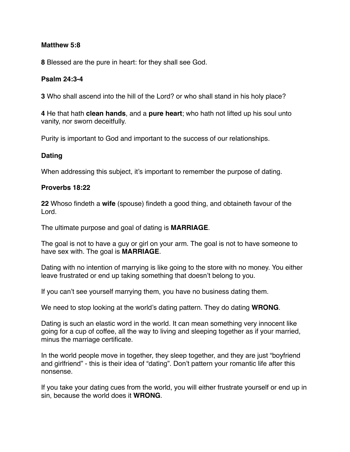### **Matthew 5:8**

**8** Blessed are the pure in heart: for they shall see God.

### **Psalm 24:3-4**

**3** Who shall ascend into the hill of the Lord? or who shall stand in his holy place?

**4** He that hath **clean hands**, and a **pure heart**; who hath not lifted up his soul unto vanity, nor sworn deceitfully.

Purity is important to God and important to the success of our relationships.

### **Dating**

When addressing this subject, it's important to remember the purpose of dating.

#### **Proverbs 18:22**

**22** Whoso findeth a **wife** (spouse) findeth a good thing, and obtaineth favour of the Lord.

The ultimate purpose and goal of dating is **MARRIAGE**.

The goal is not to have a guy or girl on your arm. The goal is not to have someone to have sex with. The goal is **MARRIAGE**.

Dating with no intention of marrying is like going to the store with no money. You either leave frustrated or end up taking something that doesn't belong to you.

If you can't see yourself marrying them, you have no business dating them.

We need to stop looking at the world's dating pattern. They do dating **WRONG**.

Dating is such an elastic word in the world. It can mean something very innocent like going for a cup of coffee, all the way to living and sleeping together as if your married, minus the marriage certificate.

In the world people move in together, they sleep together, and they are just "boyfriend and girlfriend" - this is their idea of "dating". Don't pattern your romantic life after this nonsense.

If you take your dating cues from the world, you will either frustrate yourself or end up in sin, because the world does it **WRONG**.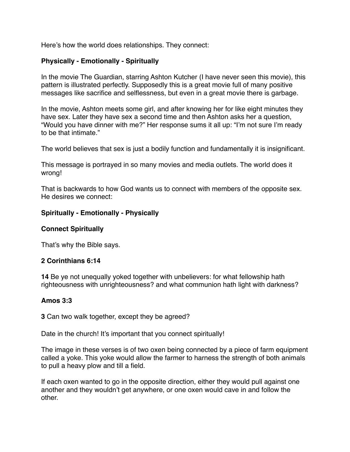Here's how the world does relationships. They connect:

### **Physically - Emotionally - Spiritually**

In the movie The Guardian, starring Ashton Kutcher (I have never seen this movie), this pattern is illustrated perfectly. Supposedly this is a great movie full of many positive messages like sacrifice and selflessness, but even in a great movie there is garbage.

In the movie, Ashton meets some girl, and after knowing her for like eight minutes they have sex. Later they have sex a second time and then Ashton asks her a question, "Would you have dinner with me?" Her response sums it all up: "I'm not sure I'm ready to be that intimate."

The world believes that sex is just a bodily function and fundamentally it is insignificant.

This message is portrayed in so many movies and media outlets. The world does it wrong!

That is backwards to how God wants us to connect with members of the opposite sex. He desires we connect:

#### **Spiritually - Emotionally - Physically**

#### **Connect Spiritually**

That's why the Bible says.

#### **2 Corinthians 6:14**

**14** Be ye not unequally yoked together with unbelievers: for what fellowship hath righteousness with unrighteousness? and what communion hath light with darkness?

#### **Amos 3:3**

**3** Can two walk together, except they be agreed?

Date in the church! It's important that you connect spiritually!

The image in these verses is of two oxen being connected by a piece of farm equipment called a yoke. This yoke would allow the farmer to harness the strength of both animals to pull a heavy plow and till a field.

If each oxen wanted to go in the opposite direction, either they would pull against one another and they wouldn't get anywhere, or one oxen would cave in and follow the other.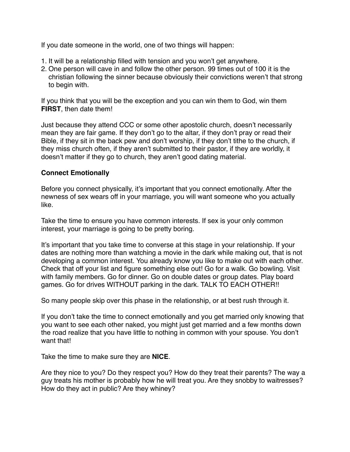If you date someone in the world, one of two things will happen:

- 1. It will be a relationship filled with tension and you won't get anywhere.
- 2. One person will cave in and follow the other person. 99 times out of 100 it is the christian following the sinner because obviously their convictions weren't that strong to begin with.

If you think that you will be the exception and you can win them to God, win them **FIRST**, then date them!

Just because they attend CCC or some other apostolic church, doesn't necessarily mean they are fair game. If they don't go to the altar, if they don't pray or read their Bible, if they sit in the back pew and don't worship, if they don't tithe to the church, if they miss church often, if they aren't submitted to their pastor, if they are worldly, it doesn't matter if they go to church, they aren't good dating material.

### **Connect Emotionally**

Before you connect physically, it's important that you connect emotionally. After the newness of sex wears off in your marriage, you will want someone who you actually like.

Take the time to ensure you have common interests. If sex is your only common interest, your marriage is going to be pretty boring.

It's important that you take time to converse at this stage in your relationship. If your dates are nothing more than watching a movie in the dark while making out, that is not developing a common interest. You already know you like to make out with each other. Check that off your list and figure something else out! Go for a walk. Go bowling. Visit with family members. Go for dinner. Go on double dates or group dates. Play board games. Go for drives WITHOUT parking in the dark. TALK TO EACH OTHER!!

So many people skip over this phase in the relationship, or at best rush through it.

If you don't take the time to connect emotionally and you get married only knowing that you want to see each other naked, you might just get married and a few months down the road realize that you have little to nothing in common with your spouse. You don't want that!

Take the time to make sure they are **NICE**.

Are they nice to you? Do they respect you? How do they treat their parents? The way a guy treats his mother is probably how he will treat you. Are they snobby to waitresses? How do they act in public? Are they whiney?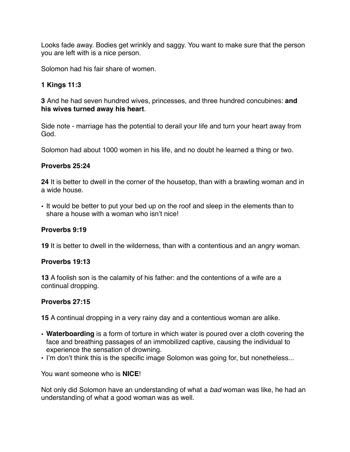Looks fade away. Bodies get wrinkly and saggy. You want to make sure that the person you are left with is a nice person.

Solomon had his fair share of women.

# **1 Kings 11:3**

**3** And he had seven hundred wives, princesses, and three hundred concubines: **and his wives turned away his heart**.

Side note - marriage has the potential to derail your life and turn your heart away from God.

Solomon had about 1000 women in his life, and no doubt he learned a thing or two.

# **Proverbs 25:24**

**24** It is better to dwell in the corner of the housetop, than with a brawling woman and in a wide house.

• It would be better to put your bed up on the roof and sleep in the elements than to share a house with a woman who isn't nice!

# **Proverbs 9:19**

**19** It is better to dwell in the wilderness, than with a contentious and an angry woman.

#### **Proverbs 19:13**

**13** A foolish son is the calamity of his father: and the contentions of a wife are a continual dropping.

# **Proverbs 27:15**

**15** A continual dropping in a very rainy day and a contentious woman are alike.

- **Waterboarding** is a form of torture in which water is poured over a cloth covering the face and breathing passages of an immobilized captive, causing the individual to experience the sensation of drowning.
- I'm don't think this is the specific image Solomon was going for, but nonetheless...

You want someone who is **NICE**!

Not only did Solomon have an understanding of what a *bad* woman was like, he had an understanding of what a good woman was as well.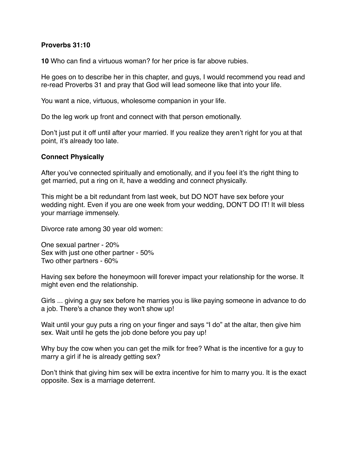#### **Proverbs 31:10**

**10** Who can find a virtuous woman? for her price is far above rubies.

He goes on to describe her in this chapter, and guys, I would recommend you read and re-read Proverbs 31 and pray that God will lead someone like that into your life.

You want a nice, virtuous, wholesome companion in your life.

Do the leg work up front and connect with that person emotionally.

Don't just put it off until after your married. If you realize they aren't right for you at that point, it's already too late.

#### **Connect Physically**

After you've connected spiritually and emotionally, and if you feel it's the right thing to get married, put a ring on it, have a wedding and connect physically.

This might be a bit redundant from last week, but DO NOT have sex before your wedding night. Even if you are one week from your wedding, DON'T DO IT! It will bless your marriage immensely.

Divorce rate among 30 year old women:

One sexual partner - 20% Sex with just one other partner - 50% Two other partners - 60%

Having sex before the honeymoon will forever impact your relationship for the worse. It might even end the relationship.

Girls ... giving a guy sex before he marries you is like paying someone in advance to do a job. There's a chance they won't show up!

Wait until your guy puts a ring on your finger and says "I do" at the altar, then give him sex. Wait until he gets the job done before you pay up!

Why buy the cow when you can get the milk for free? What is the incentive for a guy to marry a girl if he is already getting sex?

Don't think that giving him sex will be extra incentive for him to marry you. It is the exact opposite. Sex is a marriage deterrent.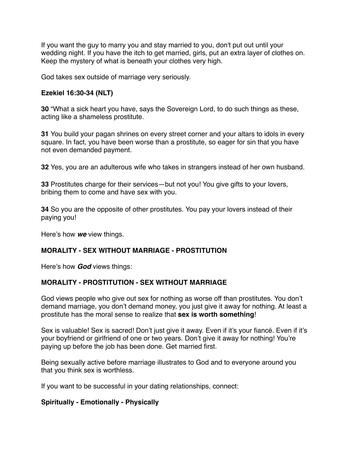If you want the guy to marry you and stay married to you, don't put out until your wedding night. If you have the itch to get married, girls, put an extra layer of clothes on. Keep the mystery of what is beneath your clothes very high.

God takes sex outside of marriage very seriously.

## **Ezekiel 16:30-34 (NLT)**

**30** "What a sick heart you have, says the Sovereign Lord, to do such things as these, acting like a shameless prostitute.

**31** You build your pagan shrines on every street corner and your altars to idols in every square. In fact, you have been worse than a prostitute, so eager for sin that you have not even demanded payment.

**32** Yes, you are an adulterous wife who takes in strangers instead of her own husband.

**33** Prostitutes charge for their services—but not you! You give gifts to your lovers, bribing them to come and have sex with you.

**34** So you are the opposite of other prostitutes. You pay your lovers instead of their paying you!

Here's how *we* view things.

# **MORALITY - SEX WITHOUT MARRIAGE - PROSTITUTION**

Here's how *God* views things:

#### **MORALITY - PROSTITUTION - SEX WITHOUT MARRIAGE**

God views people who give out sex for nothing as worse off than prostitutes. You don't demand marriage, you don't demand money, you just give it away for nothing. At least a prostitute has the moral sense to realize that **sex is worth something**!

Sex is valuable! Sex is sacred! Don't just give it away. Even if it's your fiancé. Even if it's your boyfriend or girlfriend of one or two years. Don't give it away for nothing! You're paying up before the job has been done. Get married first.

Being sexually active before marriage illustrates to God and to everyone around you that you think sex is worthless.

If you want to be successful in your dating relationships, connect:

#### **Spiritually - Emotionally - Physically**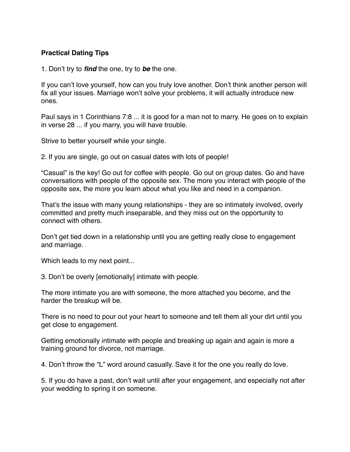### **Practical Dating Tips**

1. Don't try to *find* the one, try to *be* the one.

If you can't love yourself, how can you truly love another. Don't think another person will fix all your issues. Marriage won't solve your problems, it will actually introduce new ones.

Paul says in 1 Corinthians 7:8 ... it is good for a man not to marry. He goes on to explain in verse 28 ... if you marry, you will have trouble.

Strive to better yourself while your single.

2. If you are single, go out on casual dates with lots of people!

"Casual" is the key! Go out for coffee with people. Go out on group dates. Go and have conversations with people of the opposite sex. The more you interact with people of the opposite sex, the more you learn about what you like and need in a companion.

That's the issue with many young relationships - they are so intimately involved, overly committed and pretty much inseparable, and they miss out on the opportunity to connect with others.

Don't get tied down in a relationship until you are getting really close to engagement and marriage.

Which leads to my next point...

3. Don't be overly [emotionally] intimate with people.

The more intimate you are with someone, the more attached you become, and the harder the breakup will be.

There is no need to pour out your heart to someone and tell them all your dirt until you get close to engagement.

Getting emotionally intimate with people and breaking up again and again is more a training ground for divorce, not marriage.

4. Don't throw the "L" word around casually. Save it for the one you really do love.

5. If you do have a past, don't wait until after your engagement, and especially not after your wedding to spring it on someone.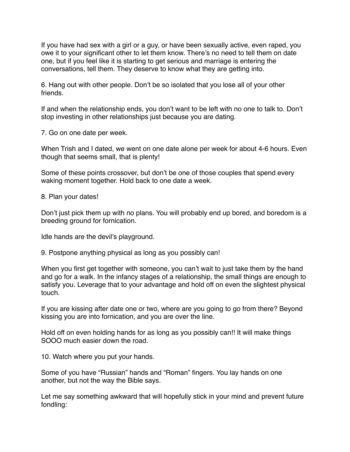If you have had sex with a girl or a guy, or have been sexually active, even raped, you owe it to your significant other to let them know. There's no need to tell them on date one, but if you feel like it is starting to get serious and marriage is entering the conversations, tell them. They deserve to know what they are getting into.

6. Hang out with other people. Don't be so isolated that you lose all of your other friends.

If and when the relationship ends, you don't want to be left with no one to talk to. Don't stop investing in other relationships just because you are dating.

7. Go on one date per week.

When Trish and I dated, we went on one date alone per week for about 4-6 hours. Even though that seems small, that is plenty!

Some of these points crossover, but don't be one of those couples that spend every waking moment together. Hold back to one date a week.

8. Plan your dates!

Don't just pick them up with no plans. You will probably end up bored, and boredom is a breeding ground for fornication.

Idle hands are the devil's playground.

9. Postpone anything physical as long as you possibly can!

When you first get together with someone, you can't wait to just take them by the hand and go for a walk. In the infancy stages of a relationship, the small things are enough to satisfy you. Leverage that to your advantage and hold off on even the slightest physical touch.

If you are kissing after date one or two, where are you going to go from there? Beyond kissing you are into fornication, and you are over the line.

Hold off on even holding hands for as long as you possibly can!! It will make things SOOO much easier down the road.

10. Watch where you put your hands.

Some of you have "Russian" hands and "Roman" fingers. You lay hands on one another, but not the way the Bible says.

Let me say something awkward that will hopefully stick in your mind and prevent future fondling: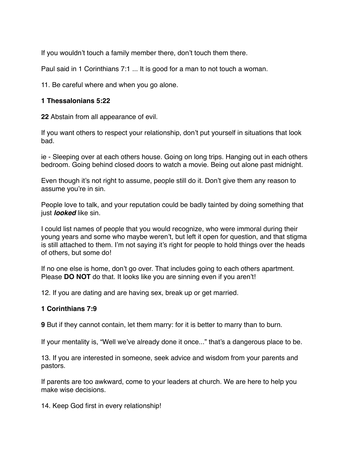If you wouldn't touch a family member there, don't touch them there.

Paul said in 1 Corinthians 7:1 ... It is good for a man to not touch a woman.

11. Be careful where and when you go alone.

### **1 Thessalonians 5:22**

**22** Abstain from all appearance of evil.

If you want others to respect your relationship, don't put yourself in situations that look bad.

ie - Sleeping over at each others house. Going on long trips. Hanging out in each others bedroom. Going behind closed doors to watch a movie. Being out alone past midnight.

Even though it's not right to assume, people still do it. Don't give them any reason to assume you're in sin.

People love to talk, and your reputation could be badly tainted by doing something that just *looked* like sin.

I could list names of people that you would recognize, who were immoral during their young years and some who maybe weren't, but left it open for question, and that stigma is still attached to them. I'm not saying it's right for people to hold things over the heads of others, but some do!

If no one else is home, don't go over. That includes going to each others apartment. Please **DO NOT** do that. It looks like you are sinning even if you aren't!

12. If you are dating and are having sex, break up or get married.

# **1 Corinthians 7:9**

**9** But if they cannot contain, let them marry: for it is better to marry than to burn.

If your mentality is, "Well we've already done it once..." that's a dangerous place to be.

13. If you are interested in someone, seek advice and wisdom from your parents and pastors.

If parents are too awkward, come to your leaders at church. We are here to help you make wise decisions.

14. Keep God first in every relationship!